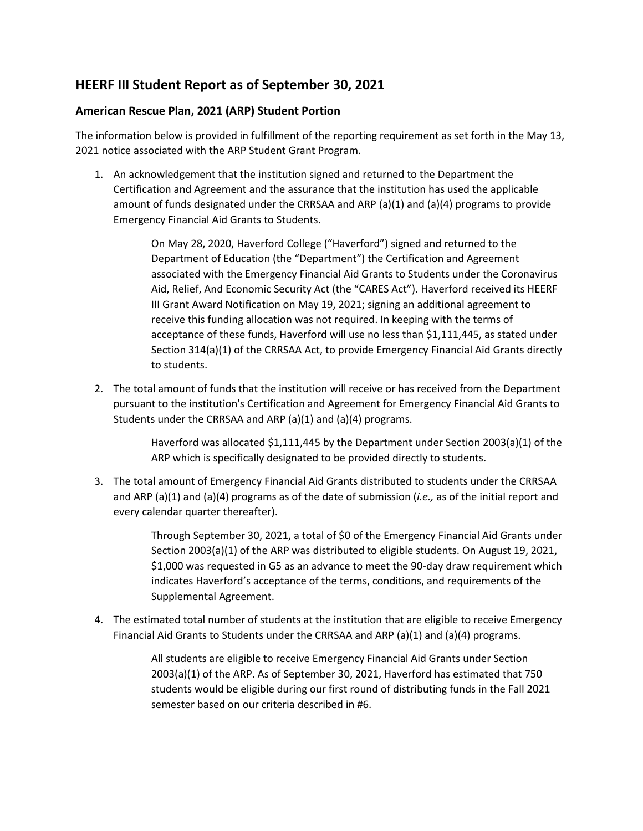## **HEERF III Student Report as of September 30, 2021**

## **American Rescue Plan, 2021 (ARP) Student Portion**

The information below is provided in fulfillment of the reporting requirement as set forth in the May 13, 2021 notice associated with the ARP Student Grant Program.

1. An acknowledgement that the institution signed and returned to the Department the Certification and Agreement and the assurance that the institution has used the applicable amount of funds designated under the CRRSAA and ARP (a)(1) and (a)(4) programs to provide Emergency Financial Aid Grants to Students.

> On May 28, 2020, Haverford College ("Haverford") signed and returned to the Department of Education (the "Department") the Certification and Agreement associated with the Emergency Financial Aid Grants to Students under the Coronavirus Aid, Relief, And Economic Security Act (the "CARES Act"). Haverford received its HEERF III Grant Award Notification on May 19, 2021; signing an additional agreement to receive this funding allocation was not required. In keeping with the terms of acceptance of these funds, Haverford will use no less than \$1,111,445, as stated under Section 314(a)(1) of the CRRSAA Act, to provide Emergency Financial Aid Grants directly to students.

2. The total amount of funds that the institution will receive or has received from the Department pursuant to the institution's Certification and Agreement for Emergency Financial Aid Grants to Students under the CRRSAA and ARP  $(a)(1)$  and  $(a)(4)$  programs.

> Haverford was allocated \$1,111,445 by the Department under Section 2003(a)(1) of the ARP which is specifically designated to be provided directly to students.

3. The total amount of Emergency Financial Aid Grants distributed to students under the CRRSAA and ARP (a)(1) and (a)(4) programs as of the date of submission (*i.e.,* as of the initial report and every calendar quarter thereafter).

> Through September 30, 2021, a total of \$0 of the Emergency Financial Aid Grants under Section 2003(a)(1) of the ARP was distributed to eligible students. On August 19, 2021, \$1,000 was requested in G5 as an advance to meet the 90-day draw requirement which indicates Haverford's acceptance of the terms, conditions, and requirements of the Supplemental Agreement.

4. The estimated total number of students at the institution that are eligible to receive Emergency Financial Aid Grants to Students under the CRRSAA and ARP (a)(1) and (a)(4) programs.

> All students are eligible to receive Emergency Financial Aid Grants under Section 2003(a)(1) of the ARP. As of September 30, 2021, Haverford has estimated that 750 students would be eligible during our first round of distributing funds in the Fall 2021 semester based on our criteria described in #6.